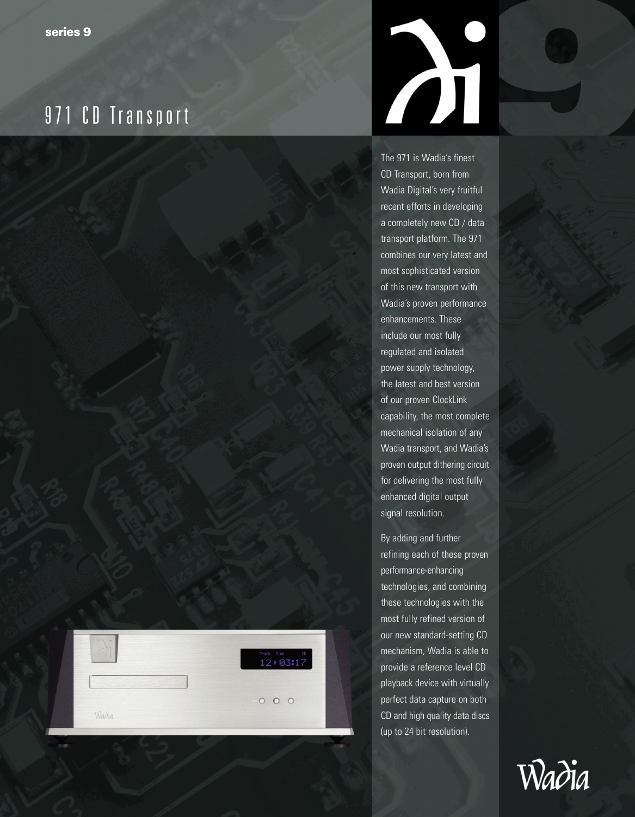## 971 CD Transpor t

## M

The 971 is Wadia's finest CD Transport, born from Wadia Digital's very fruitful recent efforts in developing a completely new CD / data transport platform. The 971 combines our very latest and most sophisticated version of this new transport with Wadia's proven performance enhancements. These include our most fully regulated and isolated power supply technology, the latest and best version of our proven ClockLink capability, the most complete mechanical isolation of any Wadia transport, and Wadia's proven output dithering circuit for delivering the most fully enhanced digital output signal resolution.

By adding and further refining each of these proven performance-enhancing technologies, and combining these technologies with the most fully refined version of our new standard-setting CD mechanism, Wadia is able to provide a reference level CD playback device with virtually perfect data capture on both CD and high quality data discs (up to 24 bit resolution).



| Track Time CD<br>$12 \times 03:17$ |
|------------------------------------|
|                                    |
| $-000$                             |